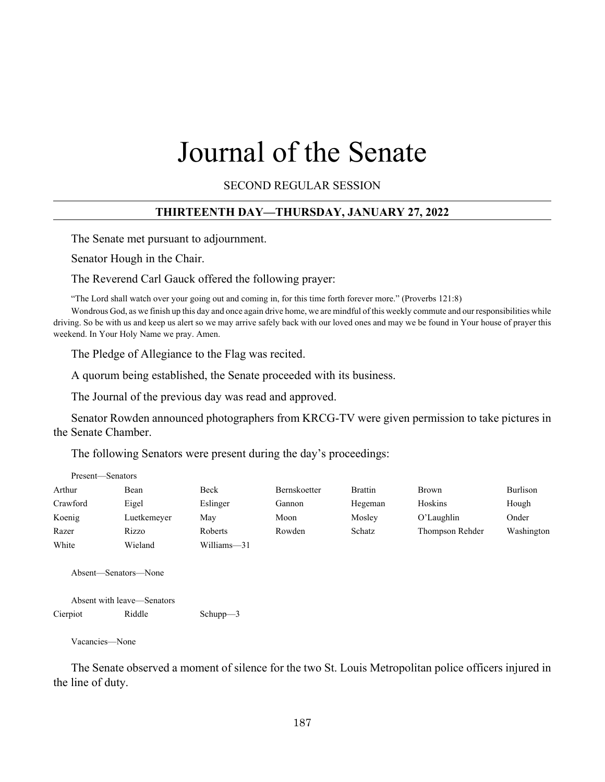# Journal of the Senate

SECOND REGULAR SESSION

# **THIRTEENTH DAY—THURSDAY, JANUARY 27, 2022**

The Senate met pursuant to adjournment.

Senator Hough in the Chair.

The Reverend Carl Gauck offered the following prayer:

"The Lord shall watch over your going out and coming in, for this time forth forever more." (Proverbs 121:8)

Wondrous God, as we finish up this day and once again drive home, we are mindful of this weekly commute and our responsibilities while driving. So be with us and keep us alert so we may arrive safely back with our loved ones and may we be found in Your house of prayer this weekend. In Your Holy Name we pray. Amen.

The Pledge of Allegiance to the Flag was recited.

A quorum being established, the Senate proceeded with its business.

The Journal of the previous day was read and approved.

Senator Rowden announced photographers from KRCG-TV were given permission to take pictures in the Senate Chamber.

The following Senators were present during the day's proceedings:

| Present—Senators |             |             |                     |                |                 |            |
|------------------|-------------|-------------|---------------------|----------------|-----------------|------------|
| Arthur           | Bean        | Beck        | <b>Bernskoetter</b> | <b>Brattin</b> | <b>Brown</b>    | Burlison   |
| Crawford         | Eigel       | Eslinger    | Gannon              | Hegeman        | Hoskins         | Hough      |
| Koenig           | Luetkemeyer | May         | Moon                | Mosley         | O'Laughlin      | Onder      |
| Razer            | Rizzo       | Roberts     | Rowden              | Schatz         | Thompson Rehder | Washington |
| White            | Wieland     | Williams-31 |                     |                |                 |            |

Absent—Senators—None

```
Absent with leave—Senators
Cierpiot Riddle Schupp—3
```
Vacancies—None

The Senate observed a moment of silence for the two St. Louis Metropolitan police officers injured in the line of duty.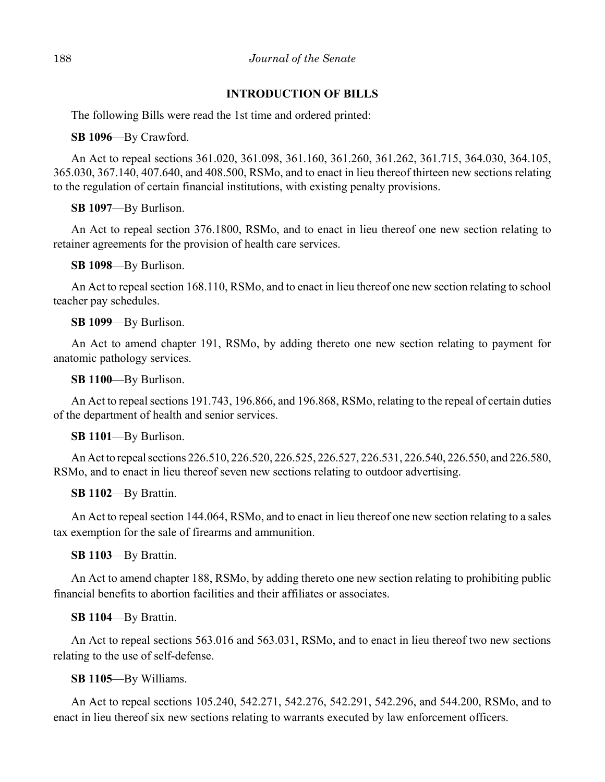## **INTRODUCTION OF BILLS**

The following Bills were read the 1st time and ordered printed:

**SB 1096**––By Crawford.

An Act to repeal sections 361.020, 361.098, 361.160, 361.260, 361.262, 361.715, 364.030, 364.105, 365.030, 367.140, 407.640, and 408.500, RSMo, and to enact in lieu thereof thirteen new sections relating to the regulation of certain financial institutions, with existing penalty provisions.

**SB 1097**––By Burlison.

An Act to repeal section 376.1800, RSMo, and to enact in lieu thereof one new section relating to retainer agreements for the provision of health care services.

**SB 1098**––By Burlison.

An Act to repeal section 168.110, RSMo, and to enact in lieu thereof one new section relating to school teacher pay schedules.

**SB 1099**––By Burlison.

An Act to amend chapter 191, RSMo, by adding thereto one new section relating to payment for anatomic pathology services.

**SB 1100**––By Burlison.

An Act to repeal sections 191.743, 196.866, and 196.868, RSMo, relating to the repeal of certain duties of the department of health and senior services.

**SB 1101**––By Burlison.

An Act to repeal sections 226.510, 226.520, 226.525, 226.527, 226.531, 226.540, 226.550, and 226.580, RSMo, and to enact in lieu thereof seven new sections relating to outdoor advertising.

**SB 1102**––By Brattin.

An Act to repeal section 144.064, RSMo, and to enact in lieu thereof one new section relating to a sales tax exemption for the sale of firearms and ammunition.

## **SB 1103**––By Brattin.

An Act to amend chapter 188, RSMo, by adding thereto one new section relating to prohibiting public financial benefits to abortion facilities and their affiliates or associates.

**SB 1104**––By Brattin.

An Act to repeal sections 563.016 and 563.031, RSMo, and to enact in lieu thereof two new sections relating to the use of self-defense.

**SB 1105**––By Williams.

An Act to repeal sections 105.240, 542.271, 542.276, 542.291, 542.296, and 544.200, RSMo, and to enact in lieu thereof six new sections relating to warrants executed by law enforcement officers.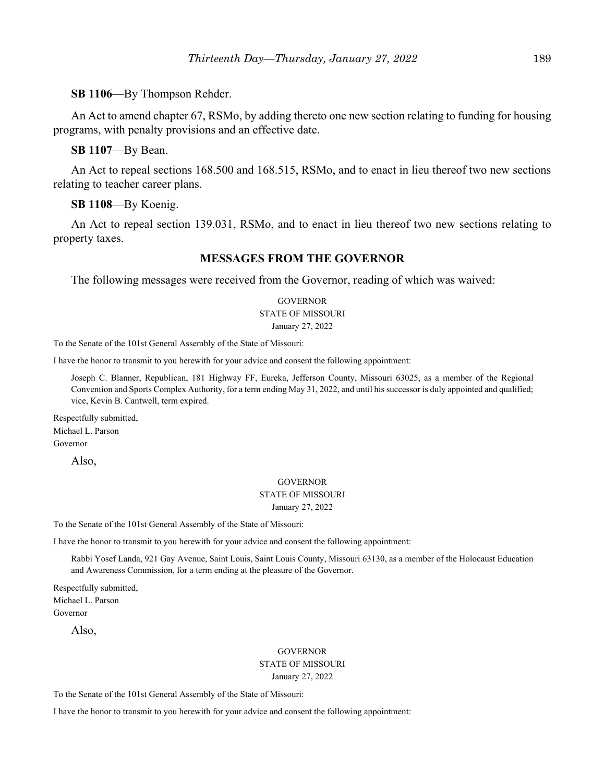**SB 1106**––By Thompson Rehder.

An Act to amend chapter 67, RSMo, by adding thereto one new section relating to funding for housing programs, with penalty provisions and an effective date.

**SB 1107**––By Bean.

An Act to repeal sections 168.500 and 168.515, RSMo, and to enact in lieu thereof two new sections relating to teacher career plans.

**SB 1108**––By Koenig.

An Act to repeal section 139.031, RSMo, and to enact in lieu thereof two new sections relating to property taxes.

## **MESSAGES FROM THE GOVERNOR**

The following messages were received from the Governor, reading of which was waived:

## **GOVERNOR** STATE OF MISSOURI January 27, 2022

To the Senate of the 101st General Assembly of the State of Missouri:

I have the honor to transmit to you herewith for your advice and consent the following appointment:

Joseph C. Blanner, Republican, 181 Highway FF, Eureka, Jefferson County, Missouri 63025, as a member of the Regional Convention and Sports Complex Authority, for a term ending May 31, 2022, and until his successor is duly appointed and qualified; vice, Kevin B. Cantwell, term expired.

Respectfully submitted, Michael L. Parson Governor

Also,

## **GOVERNOR** STATE OF MISSOURI January 27, 2022

To the Senate of the 101st General Assembly of the State of Missouri:

I have the honor to transmit to you herewith for your advice and consent the following appointment:

Rabbi Yosef Landa, 921 Gay Avenue, Saint Louis, Saint Louis County, Missouri 63130, as a member of the Holocaust Education and Awareness Commission, for a term ending at the pleasure of the Governor.

Respectfully submitted, Michael L. Parson Governor

Also,

## **GOVERNOR**

#### STATE OF MISSOURI January 27, 2022

To the Senate of the 101st General Assembly of the State of Missouri:

I have the honor to transmit to you herewith for your advice and consent the following appointment: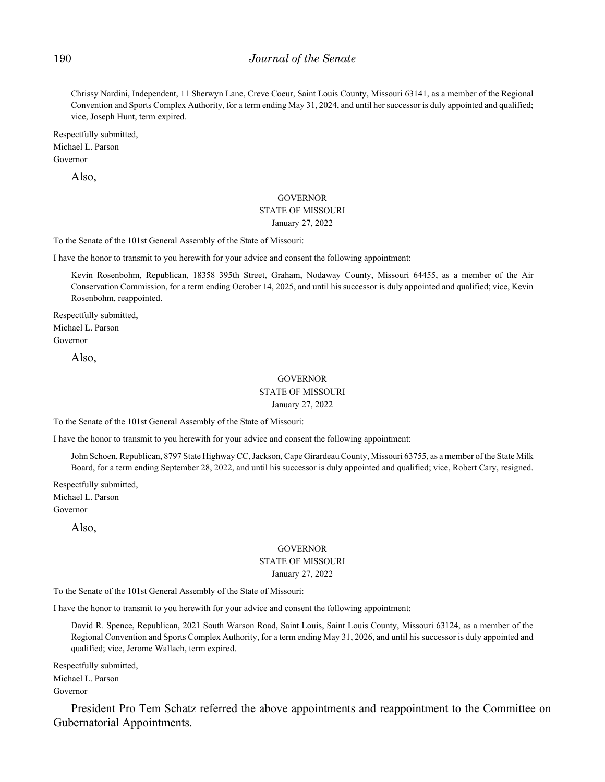## 190 *Journal of the Senate*

Chrissy Nardini, Independent, 11 Sherwyn Lane, Creve Coeur, Saint Louis County, Missouri 63141, as a member of the Regional Convention and Sports Complex Authority, for a term ending May 31, 2024, and until her successor is duly appointed and qualified; vice, Joseph Hunt, term expired.

Respectfully submitted, Michael L. Parson

Governor

Also,

#### GOVERNOR

# STATE OF MISSOURI

## January 27, 2022

To the Senate of the 101st General Assembly of the State of Missouri:

I have the honor to transmit to you herewith for your advice and consent the following appointment:

Kevin Rosenbohm, Republican, 18358 395th Street, Graham, Nodaway County, Missouri 64455, as a member of the Air Conservation Commission, for a term ending October 14, 2025, and until his successor is duly appointed and qualified; vice, Kevin Rosenbohm, reappointed.

Respectfully submitted, Michael L. Parson Governor

Also,

## GOVERNOR

## STATE OF MISSOURI

January 27, 2022

To the Senate of the 101st General Assembly of the State of Missouri:

I have the honor to transmit to you herewith for your advice and consent the following appointment:

John Schoen, Republican, 8797 State Highway CC, Jackson, Cape Girardeau County, Missouri 63755, as a member of the State Milk Board, for a term ending September 28, 2022, and until his successor is duly appointed and qualified; vice, Robert Cary, resigned.

Respectfully submitted, Michael L. Parson Governor

Also,

#### **GOVERNOR**

#### STATE OF MISSOURI

January 27, 2022

To the Senate of the 101st General Assembly of the State of Missouri:

I have the honor to transmit to you herewith for your advice and consent the following appointment:

David R. Spence, Republican, 2021 South Warson Road, Saint Louis, Saint Louis County, Missouri 63124, as a member of the Regional Convention and Sports Complex Authority, for a term ending May 31, 2026, and until his successor is duly appointed and qualified; vice, Jerome Wallach, term expired.

Respectfully submitted, Michael L. Parson Governor

President Pro Tem Schatz referred the above appointments and reappointment to the Committee on Gubernatorial Appointments.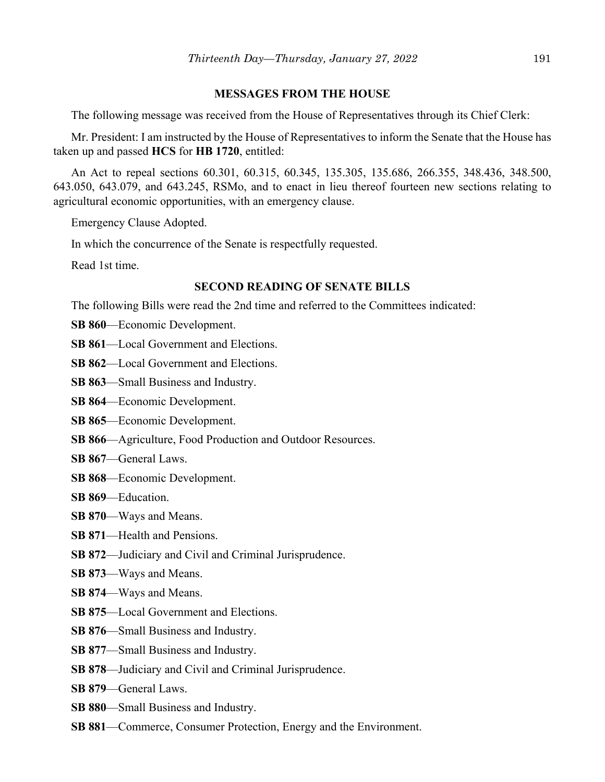## **MESSAGES FROM THE HOUSE**

The following message was received from the House of Representatives through its Chief Clerk:

Mr. President: I am instructed by the House of Representatives to inform the Senate that the House has taken up and passed **HCS** for **HB 1720**, entitled:

An Act to repeal sections 60.301, 60.315, 60.345, 135.305, 135.686, 266.355, 348.436, 348.500, 643.050, 643.079, and 643.245, RSMo, and to enact in lieu thereof fourteen new sections relating to agricultural economic opportunities, with an emergency clause.

Emergency Clause Adopted.

In which the concurrence of the Senate is respectfully requested.

Read 1st time.

## **SECOND READING OF SENATE BILLS**

The following Bills were read the 2nd time and referred to the Committees indicated:

- **SB 860**––Economic Development.
- **SB 861–Local Government and Elections.**
- **SB 862–Local Government and Elections.**
- **SB 863**––Small Business and Industry.
- **SB 864**––Economic Development.
- **SB 865**––Economic Development.
- **SB 866**––Agriculture, Food Production and Outdoor Resources.
- **SB 867**––General Laws.
- **SB 868**––Economic Development.
- **SB 869**––Education.
- **SB 870**––Ways and Means.
- **SB 871**––Health and Pensions.
- **SB 872**––Judiciary and Civil and Criminal Jurisprudence.
- **SB 873**––Ways and Means.
- **SB 874**––Ways and Means.
- **SB 875**—Local Government and Elections.
- **SB 876**––Small Business and Industry.
- **SB 877**––Small Business and Industry.
- **SB 878**––Judiciary and Civil and Criminal Jurisprudence.
- **SB 879**––General Laws.
- **SB 880**––Small Business and Industry.
- **SB 881**––Commerce, Consumer Protection, Energy and the Environment.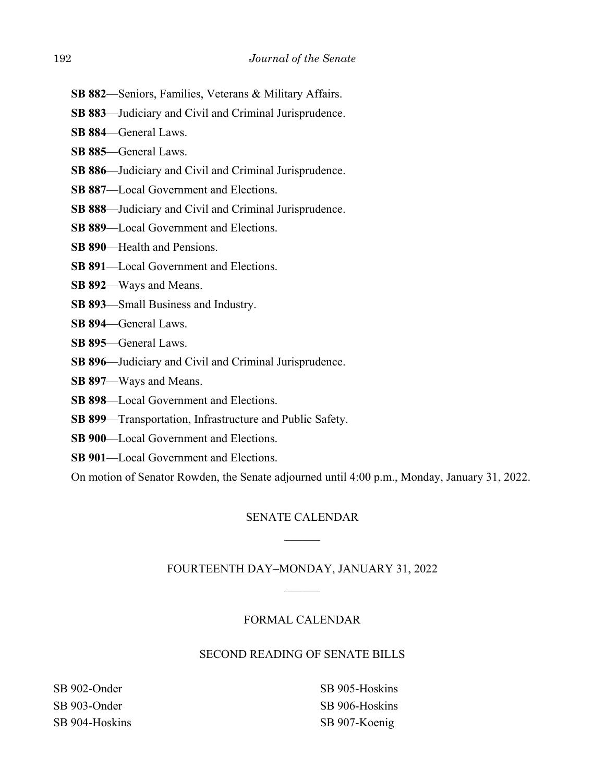- **SB 882**––Seniors, Families, Veterans & Military Affairs.
- **SB 883**––Judiciary and Civil and Criminal Jurisprudence.
- **SB 884**––General Laws.
- **SB 885**––General Laws.
- **SB 886**––Judiciary and Civil and Criminal Jurisprudence.
- **SB 887**––Local Government and Elections.
- **SB 888**––Judiciary and Civil and Criminal Jurisprudence.
- **SB 889**––Local Government and Elections.
- **SB 890—Health and Pensions.**
- **SB 891**––Local Government and Elections.
- **SB 892**––Ways and Means.
- **SB 893**––Small Business and Industry.
- **SB 894**––General Laws.
- **SB 895**––General Laws.
- **SB 896**––Judiciary and Civil and Criminal Jurisprudence.
- **SB 897**––Ways and Means.
- **SB 898**––Local Government and Elections.
- **SB 899**––Transportation, Infrastructure and Public Safety.
- **SB 900–Local Government and Elections.**
- **SB 901**—Local Government and Elections.

On motion of Senator Rowden, the Senate adjourned until 4:00 p.m., Monday, January 31, 2022.

## SENATE CALENDAR

## FOURTEENTH DAY–MONDAY, JANUARY 31, 2022

## FORMAL CALENDAR

## SECOND READING OF SENATE BILLS

SB 902-Onder SB 903-Onder SB 904-Hoskins SB 905-Hoskins SB 906-Hoskins SB 907-Koenig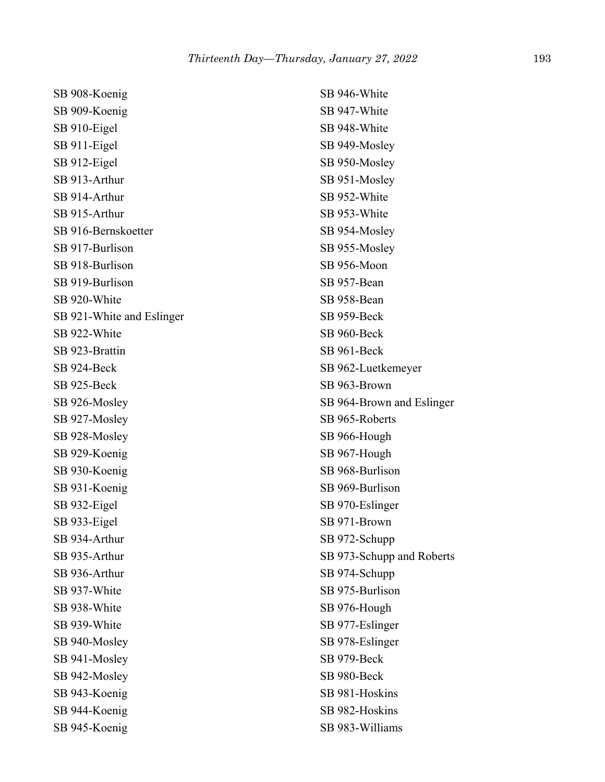| SB 908-Koenig             | SB 946-White              |
|---------------------------|---------------------------|
| SB 909-Koenig             | SB 947-White              |
| SB 910-Eigel              | SB 948-White              |
| SB 911-Eigel              | SB 949-Mosley             |
| SB 912-Eigel              | SB 950-Mosley             |
| SB 913-Arthur             | SB 951-Mosley             |
| SB 914-Arthur             | SB 952-White              |
| SB 915-Arthur             | SB 953-White              |
| SB 916-Bernskoetter       | SB 954-Mosley             |
| SB 917-Burlison           | SB 955-Mosley             |
| SB 918-Burlison           | SB 956-Moon               |
| SB 919-Burlison           | SB 957-Bean               |
| SB 920-White              | SB 958-Bean               |
| SB 921-White and Eslinger | SB 959-Beck               |
| SB 922-White              | SB 960-Beck               |
| SB 923-Brattin            | SB 961-Beck               |
| SB 924-Beck               | SB 962-Luetkemeyer        |
| SB 925-Beck               | SB 963-Brown              |
| SB 926-Mosley             | SB 964-Brown and Eslinger |
| SB 927-Mosley             | SB 965-Roberts            |
| SB 928-Mosley             | SB 966-Hough              |
| SB 929-Koenig             | SB 967-Hough              |
| SB 930-Koenig             | SB 968-Burlison           |
| SB 931-Koenig             | SB 969-Burlison           |
| SB 932-Eigel              | SB 970-Eslinger           |
| SB 933-Eigel              | SB 971-Brown              |
| SB 934-Arthur             | SB 972-Schupp             |
| SB 935-Arthur             | SB 973-Schupp and Roberts |
| SB 936-Arthur             | SB 974-Schupp             |
| SB 937-White              | SB 975-Burlison           |
| SB 938-White              | SB 976-Hough              |
| SB 939-White              | SB 977-Eslinger           |
| SB 940-Mosley             | SB 978-Eslinger           |
| SB 941-Mosley             | SB 979-Beck               |
| SB 942-Mosley             | SB 980-Beck               |
| SB 943-Koenig             | SB 981-Hoskins            |
| SB 944-Koenig             | SB 982-Hoskins            |
| SB 945-Koenig             | SB 983-Williams           |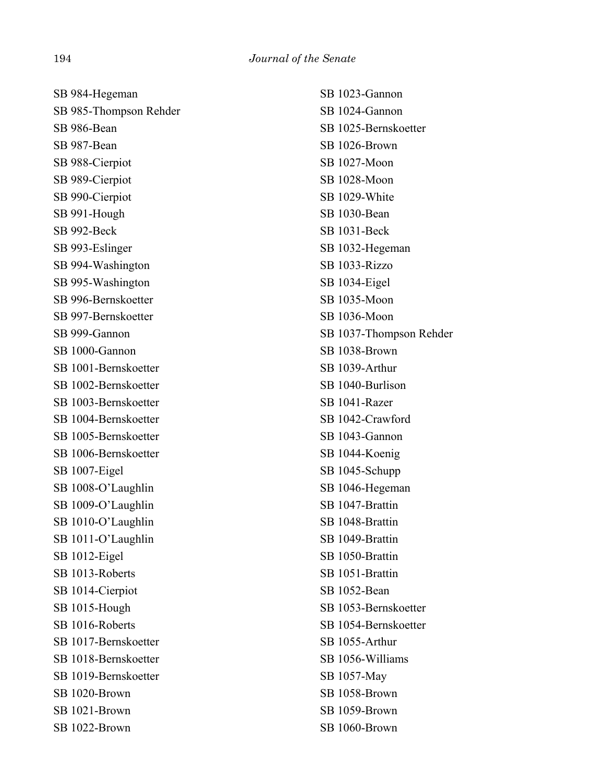SB 984-Hegeman SB 985-Thompson Rehder SB 986-Bean SB 987-Bean SB 988-Cierpiot SB 989-Cierpiot SB 990-Cierpiot SB 991-Hough SB 992-Beck SB 993-Eslinger SB 994-Washington SB 995-Washington SB 996-Bernskoetter SB 997-Bernskoetter SB 999-Gannon SB 1000-Gannon SB 1001-Bernskoetter SB 1002-Bernskoetter SB 1003-Bernskoetter SB 1004-Bernskoetter SB 1005-Bernskoetter SB 1006-Bernskoetter SB 1007-Eigel SB 1008-O'Laughlin SB 1009-O'Laughlin SB 1010-O'Laughlin SB 1011-O'Laughlin SB 1012-Eigel SB 1013-Roberts SB 1014-Cierpiot SB 1015-Hough SB 1016-Roberts SB 1017-Bernskoetter SB 1018-Bernskoetter SB 1019-Bernskoetter SB 1020-Brown SB 1021-Brown SB 1022-Brown

SB 1023-Gannon SB 1024-Gannon SB 1025-Bernskoetter SB 1026-Brown SB 1027-Moon SB 1028-Moon SB 1029-White SB 1030-Bean SB 1031-Beck SB 1032-Hegeman SB 1033-Rizzo SB 1034-Eigel SB 1035-Moon SB 1036-Moon SB 1037-Thompson Rehder SB 1038-Brown SB 1039-Arthur SB 1040-Burlison SB 1041-Razer SB 1042-Crawford SB 1043-Gannon SB 1044-Koenig SB 1045-Schupp SB 1046-Hegeman SB 1047-Brattin SB 1048-Brattin SB 1049-Brattin SB 1050-Brattin SB 1051-Brattin SB 1052-Bean SB 1053-Bernskoetter SB 1054-Bernskoetter SB 1055-Arthur SB 1056-Williams SB 1057-May SB 1058-Brown SB 1059-Brown SB 1060-Brown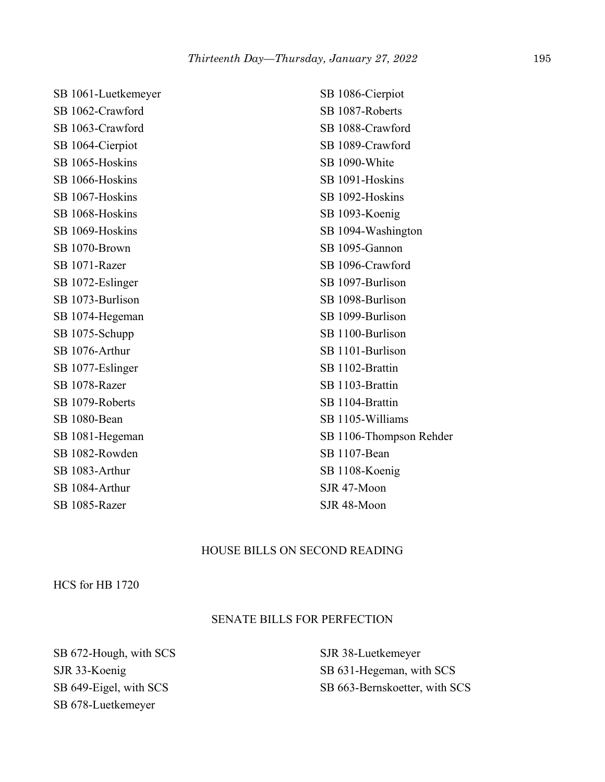| SB 1062-Crawford |
|------------------|
| SB 1063-Crawford |
| SB 1064-Cierpiot |
| SB 1065-Hoskins  |
| SB 1066-Hoskins  |
| SB 1067-Hoskins  |
| SB 1068-Hoskins  |
| SB 1069-Hoskins  |
| SB 1070-Brown    |
| SB 1071-Razer    |
| SB 1072-Eslinger |
| SB 1073-Burlison |
| SB 1074-Hegeman  |
| SB 1075-Schupp   |
| SB 1076-Arthur   |
| SB 1077-Eslinger |
| SB 1078-Razer    |
| SB 1079-Roberts  |
| SB 1080-Bean     |
| SB 1081-Hegeman  |
| SB 1082-Rowden   |
| SB 1083-Arthur   |
| SB 1084-Arthur   |
| SB 1085-Razer    |

SB 1061-Luetkemeyer

SB 1086-Cierpiot SB 1087-Roberts SB 1088-Crawford SB 1089-Crawford SB 1090-White SB 1091-Hoskins SB 1092-Hoskins SB 1093-Koenig SB 1094-Washington SB 1095-Gannon SB 1096-Crawford SB 1097-Burlison SB 1098-Burlison SB 1099-Burlison SB 1100-Burlison SB 1101-Burlison SB 1102-Brattin SB 1103-Brattin SB 1104-Brattin SB 1105-Williams SB 1106-Thompson Rehder SB 1107-Bean SB 1108-Koenig SJR 47-Moon SJR 48-Moon

## HOUSE BILLS ON SECOND READING

HCS for HB 1720

## SENATE BILLS FOR PERFECTION

SB 672-Hough, with SCS SJR 33-Koenig SB 649-Eigel, with SCS SB 678-Luetkemeyer

SJR 38-Luetkemeyer SB 631-Hegeman, with SCS SB 663-Bernskoetter, with SCS